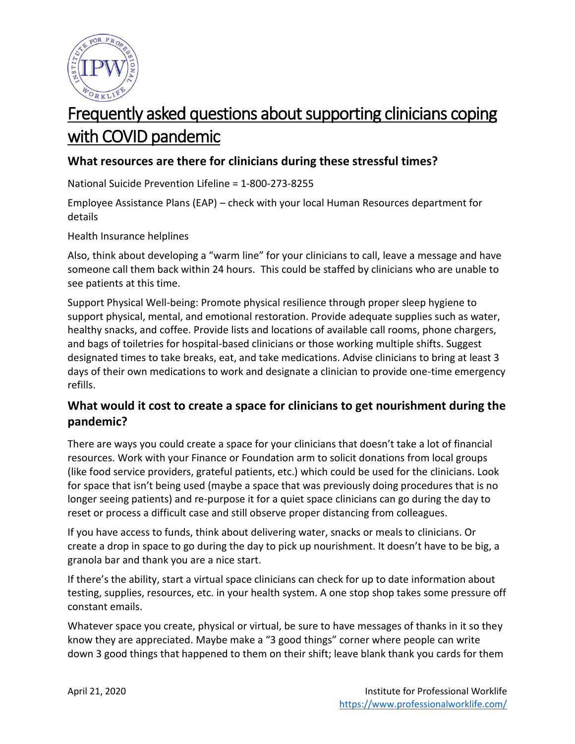

# Frequently asked questions about supporting clinicians coping with COVID pandemic

# **What resources are there for clinicians during these stressful times?**

National Suicide Prevention Lifeline = 1-800-273-8255

Employee Assistance Plans (EAP) – check with your local Human Resources department for details

Health Insurance helplines

Also, think about developing a "warm line" for your clinicians to call, leave a message and have someone call them back within 24 hours. This could be staffed by clinicians who are unable to see patients at this time.

Support Physical Well-being: Promote physical resilience through proper sleep hygiene to support physical, mental, and emotional restoration. Provide adequate supplies such as water, healthy snacks, and coffee. Provide lists and locations of available call rooms, phone chargers, and bags of toiletries for hospital-based clinicians or those working multiple shifts. Suggest designated times to take breaks, eat, and take medications. Advise clinicians to bring at least 3 days of their own medications to work and designate a clinician to provide one-time emergency refills.

# **What would it cost to create a space for clinicians to get nourishment during the pandemic?**

There are ways you could create a space for your clinicians that doesn't take a lot of financial resources. Work with your Finance or Foundation arm to solicit donations from local groups (like food service providers, grateful patients, etc.) which could be used for the clinicians. Look for space that isn't being used (maybe a space that was previously doing procedures that is no longer seeing patients) and re-purpose it for a quiet space clinicians can go during the day to reset or process a difficult case and still observe proper distancing from colleagues.

If you have access to funds, think about delivering water, snacks or meals to clinicians. Or create a drop in space to go during the day to pick up nourishment. It doesn't have to be big, a granola bar and thank you are a nice start.

If there's the ability, start a virtual space clinicians can check for up to date information about testing, supplies, resources, etc. in your health system. A one stop shop takes some pressure off constant emails.

Whatever space you create, physical or virtual, be sure to have messages of thanks in it so they know they are appreciated. Maybe make a "3 good things" corner where people can write down 3 good things that happened to them on their shift; leave blank thank you cards for them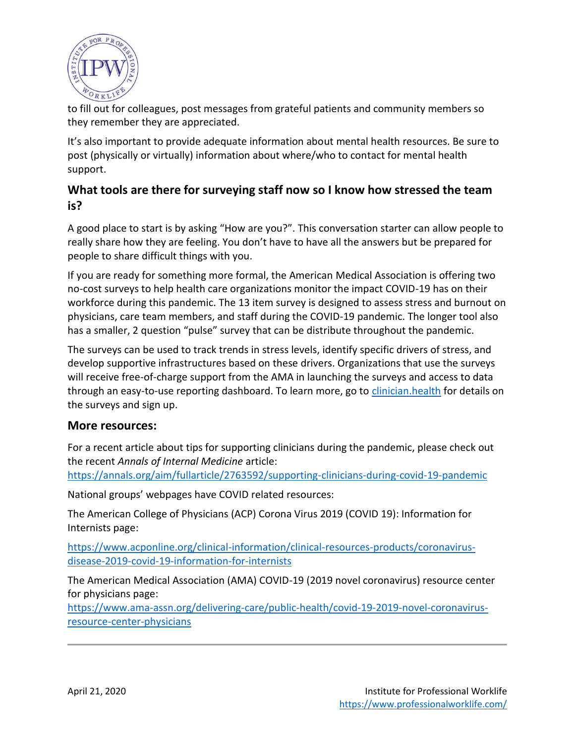

to fill out for colleagues, post messages from grateful patients and community members so they remember they are appreciated.

It's also important to provide adequate information about mental health resources. Be sure to post (physically or virtually) information about where/who to contact for mental health support.

## **What tools are there for surveying staff now so I know how stressed the team is?**

A good place to start is by asking "How are you?". This conversation starter can allow people to really share how they are feeling. You don't have to have all the answers but be prepared for people to share difficult things with you.

If you are ready for something more formal, the American Medical Association is offering two no-cost surveys to help health care organizations monitor the impact COVID-19 has on their workforce during this pandemic. The 13 item survey is designed to assess stress and burnout on physicians, care team members, and staff during the COVID-19 pandemic. The longer tool also has a smaller, 2 question "pulse" survey that can be distribute throughout the pandemic.

The surveys can be used to track trends in stress levels, identify specific drivers of stress, and develop supportive infrastructures based on these drivers. Organizations that use the surveys will receive free-of-charge support from the AMA in launching the surveys and access to data through an easy-to-use reporting dashboard. To learn more, go to *clinician.health* for details on the surveys and sign up.

#### **More resources:**

For a recent article about tips for supporting clinicians during the pandemic, please check out the recent *Annals of Internal Medicine* article:

<https://annals.org/aim/fullarticle/2763592/supporting-clinicians-during-covid-19-pandemic>

National groups' webpages have COVID related resources:

The American College of Physicians (ACP) Corona Virus 2019 (COVID 19): Information for Internists page:

[https://www.acponline.org/clinical-information/clinical-resources-products/coronavirus](https://www.acponline.org/clinical-information/clinical-resources-products/coronavirus-disease-2019-covid-19-information-for-internists)[disease-2019-covid-19-information-for-internists](https://www.acponline.org/clinical-information/clinical-resources-products/coronavirus-disease-2019-covid-19-information-for-internists)

The American Medical Association (AMA) COVID-19 (2019 novel coronavirus) resource center for physicians page:

[https://www.ama-assn.org/delivering-care/public-health/covid-19-2019-novel-coronavirus](https://www.ama-assn.org/delivering-care/public-health/covid-19-2019-novel-coronavirus-resource-center-physicians)[resource-center-physicians](https://www.ama-assn.org/delivering-care/public-health/covid-19-2019-novel-coronavirus-resource-center-physicians)